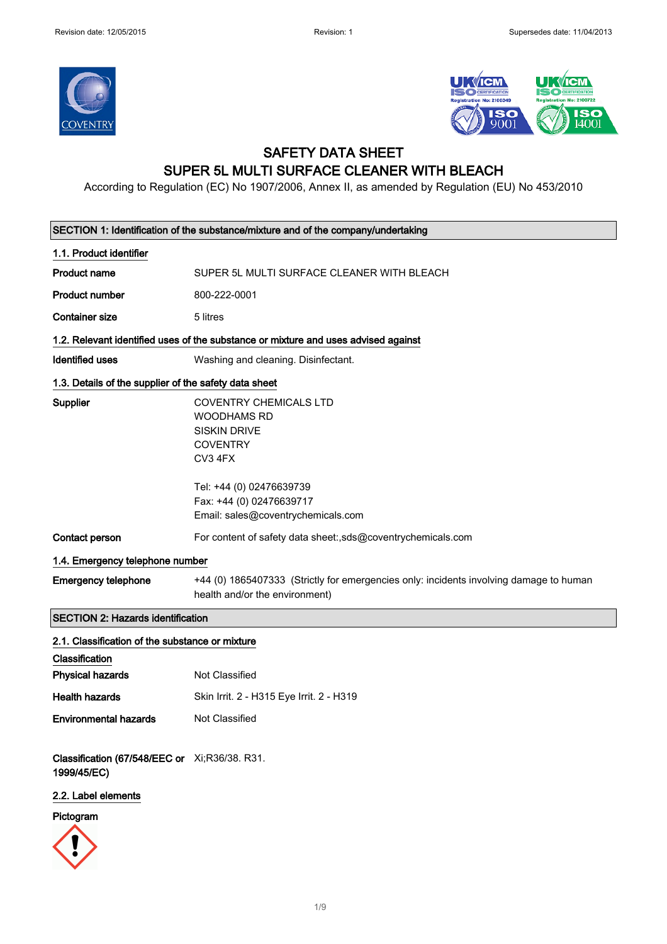



### SAFETY DATA SHEET SUPER 5L MULTI SURFACE CLEANER WITH BLEACH

According to Regulation (EC) No 1907/2006, Annex II, as amended by Regulation (EU) No 453/2010

| SECTION 1: Identification of the substance/mixture and of the company/undertaking |                                                                                                                                      |  |
|-----------------------------------------------------------------------------------|--------------------------------------------------------------------------------------------------------------------------------------|--|
| 1.1. Product identifier                                                           |                                                                                                                                      |  |
| <b>Product name</b>                                                               | SUPER 5L MULTI SURFACE CLEANER WITH BLEACH                                                                                           |  |
| <b>Product number</b>                                                             | 800-222-0001                                                                                                                         |  |
| <b>Container size</b>                                                             | 5 litres                                                                                                                             |  |
|                                                                                   | 1.2. Relevant identified uses of the substance or mixture and uses advised against                                                   |  |
| <b>Identified uses</b>                                                            | Washing and cleaning. Disinfectant.                                                                                                  |  |
| 1.3. Details of the supplier of the safety data sheet                             |                                                                                                                                      |  |
| Supplier                                                                          | <b>COVENTRY CHEMICALS LTD</b><br><b>WOODHAMS RD</b><br><b>SISKIN DRIVE</b><br><b>COVENTRY</b><br>CV3 4FX<br>Tel: +44 (0) 02476639739 |  |
|                                                                                   | Fax: +44 (0) 02476639717<br>Email: sales@coventrychemicals.com                                                                       |  |
| Contact person                                                                    | For content of safety data sheet:,sds@coventrychemicals.com                                                                          |  |
| 1.4. Emergency telephone number                                                   |                                                                                                                                      |  |
| <b>Emergency telephone</b>                                                        | +44 (0) 1865407333 (Strictly for emergencies only: incidents involving damage to human<br>health and/or the environment)             |  |
| <b>SECTION 2: Hazards identification</b>                                          |                                                                                                                                      |  |
| 2.1. Classification of the substance or mixture<br>Classification                 |                                                                                                                                      |  |
| <b>Physical hazards</b>                                                           | Not Classified                                                                                                                       |  |
| <b>Health hazards</b>                                                             | Skin Irrit. 2 - H315 Eye Irrit. 2 - H319                                                                                             |  |
| <b>Environmental hazards</b>                                                      | Not Classified                                                                                                                       |  |
| Classification (67/548/EEC or Xi;R36/38. R31.<br>1999/45/EC)                      |                                                                                                                                      |  |
| 2.2. Label elements                                                               |                                                                                                                                      |  |
| Pictogram                                                                         |                                                                                                                                      |  |
|                                                                                   |                                                                                                                                      |  |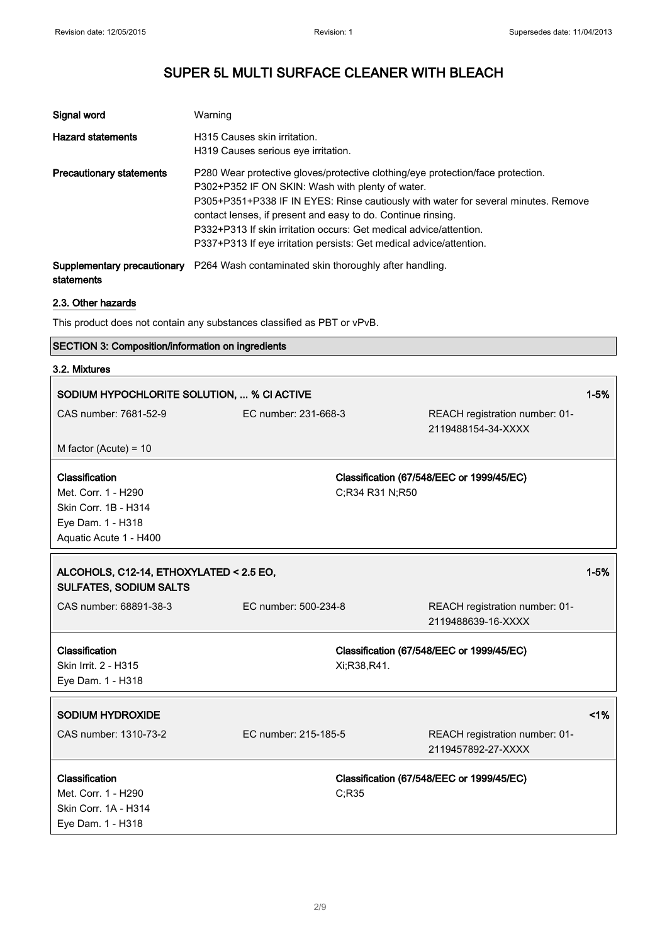| Signal word                               | Warning                                                                                                                                                                                                                                                                                                                                                                                                                                |
|-------------------------------------------|----------------------------------------------------------------------------------------------------------------------------------------------------------------------------------------------------------------------------------------------------------------------------------------------------------------------------------------------------------------------------------------------------------------------------------------|
| <b>Hazard statements</b>                  | H315 Causes skin irritation.<br>H319 Causes serious eye irritation.                                                                                                                                                                                                                                                                                                                                                                    |
| <b>Precautionary statements</b>           | P280 Wear protective gloves/protective clothing/eye protection/face protection.<br>P302+P352 IF ON SKIN: Wash with plenty of water.<br>P305+P351+P338 IF IN EYES: Rinse cautiously with water for several minutes. Remove<br>contact lenses, if present and easy to do. Continue rinsing.<br>P332+P313 If skin irritation occurs: Get medical advice/attention.<br>P337+P313 If eye irritation persists: Get medical advice/attention. |
| Supplementary precautionary<br>statements | P264 Wash contaminated skin thoroughly after handling.                                                                                                                                                                                                                                                                                                                                                                                 |

#### 2.3. Other hazards

This product does not contain any substances classified as PBT or vPvB.

#### SECTION 3: Composition/information on ingredients

#### 3.2. Mixtures

| SODIUM HYPOCHLORITE SOLUTION,  % CI ACTIVE |                      |                 | $1 - 5%$                                  |          |
|--------------------------------------------|----------------------|-----------------|-------------------------------------------|----------|
| CAS number: 7681-52-9                      | EC number: 231-668-3 |                 | REACH registration number: 01-            |          |
|                                            |                      |                 | 2119488154-34-XXXX                        |          |
| M factor (Acute) = $10$                    |                      |                 |                                           |          |
| Classification                             |                      |                 | Classification (67/548/EEC or 1999/45/EC) |          |
| Met. Corr. 1 - H290                        |                      | C;R34 R31 N;R50 |                                           |          |
| Skin Corr. 1B - H314                       |                      |                 |                                           |          |
| Eye Dam. 1 - H318                          |                      |                 |                                           |          |
| Aquatic Acute 1 - H400                     |                      |                 |                                           |          |
|                                            |                      |                 |                                           |          |
| ALCOHOLS, C12-14, ETHOXYLATED < 2.5 EO,    |                      |                 |                                           | $1 - 5%$ |
| <b>SULFATES, SODIUM SALTS</b>              |                      |                 |                                           |          |
| CAS number: 68891-38-3                     | EC number: 500-234-8 |                 | REACH registration number: 01-            |          |
|                                            |                      |                 | 2119488639-16-XXXX                        |          |
| Classification                             |                      |                 | Classification (67/548/EEC or 1999/45/EC) |          |
| Skin Irrit. 2 - H315                       |                      | Xi;R38,R41.     |                                           |          |
| Eye Dam. 1 - H318                          |                      |                 |                                           |          |
| <b>SODIUM HYDROXIDE</b>                    |                      |                 |                                           | 1%       |
|                                            |                      |                 |                                           |          |
| CAS number: 1310-73-2                      | EC number: 215-185-5 |                 | REACH registration number: 01-            |          |
|                                            |                      |                 | 2119457892-27-XXXX                        |          |
| Classification                             |                      |                 | Classification (67/548/EEC or 1999/45/EC) |          |
| Met. Corr. 1 - H290                        |                      | C;R35           |                                           |          |
| Skin Corr. 1A - H314                       |                      |                 |                                           |          |
| Eye Dam. 1 - H318                          |                      |                 |                                           |          |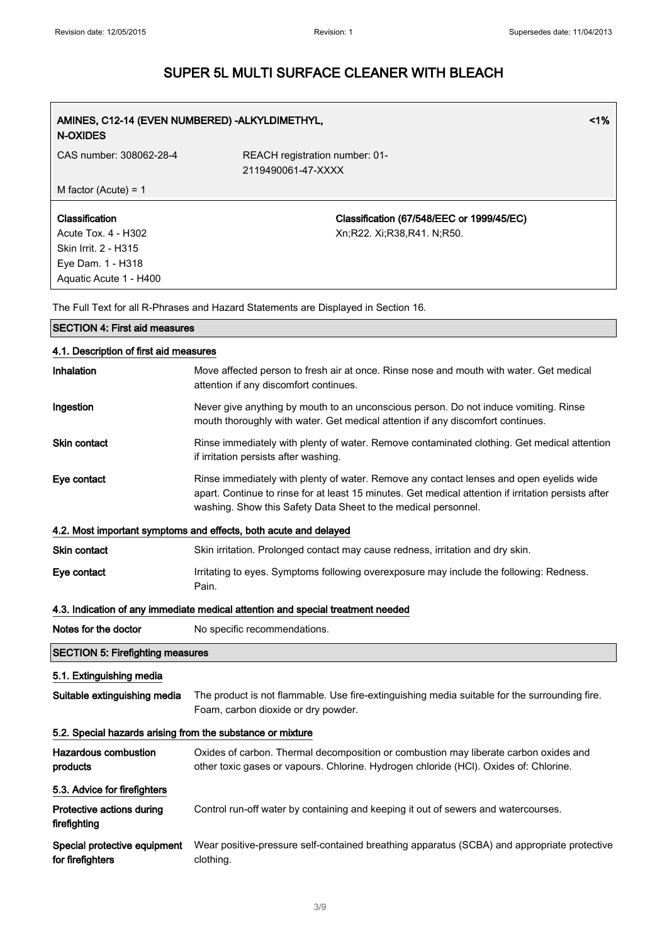| <b>N-OXIDES</b>                                                                                                     | AMINES, C12-14 (EVEN NUMBERED) - ALKYLDIMETHYL,<br>$1\%$                                                                                                                                                                                                          |  |  |
|---------------------------------------------------------------------------------------------------------------------|-------------------------------------------------------------------------------------------------------------------------------------------------------------------------------------------------------------------------------------------------------------------|--|--|
| CAS number: 308062-28-4                                                                                             | REACH registration number: 01-<br>2119490061-47-XXXX                                                                                                                                                                                                              |  |  |
| M factor (Acute) = $1$                                                                                              |                                                                                                                                                                                                                                                                   |  |  |
| Classification<br><b>Acute Tox. 4 - H302</b><br>Skin Irrit. 2 - H315<br>Eye Dam. 1 - H318<br>Aquatic Acute 1 - H400 | Classification (67/548/EEC or 1999/45/EC)<br>Xn;R22. Xi;R38,R41. N;R50.                                                                                                                                                                                           |  |  |
|                                                                                                                     | The Full Text for all R-Phrases and Hazard Statements are Displayed in Section 16.                                                                                                                                                                                |  |  |
| <b>SECTION 4: First aid measures</b>                                                                                |                                                                                                                                                                                                                                                                   |  |  |
| 4.1. Description of first aid measures                                                                              |                                                                                                                                                                                                                                                                   |  |  |
| Inhalation                                                                                                          | Move affected person to fresh air at once. Rinse nose and mouth with water. Get medical<br>attention if any discomfort continues.                                                                                                                                 |  |  |
| Ingestion                                                                                                           | Never give anything by mouth to an unconscious person. Do not induce vomiting. Rinse<br>mouth thoroughly with water. Get medical attention if any discomfort continues.                                                                                           |  |  |
| <b>Skin contact</b>                                                                                                 | Rinse immediately with plenty of water. Remove contaminated clothing. Get medical attention<br>if irritation persists after washing.                                                                                                                              |  |  |
| Eye contact                                                                                                         | Rinse immediately with plenty of water. Remove any contact lenses and open eyelids wide<br>apart. Continue to rinse for at least 15 minutes. Get medical attention if irritation persists after<br>washing. Show this Safety Data Sheet to the medical personnel. |  |  |
|                                                                                                                     | 4.2. Most important symptoms and effects, both acute and delayed                                                                                                                                                                                                  |  |  |
| <b>Skin contact</b>                                                                                                 | Skin irritation. Prolonged contact may cause redness, irritation and dry skin.                                                                                                                                                                                    |  |  |
| Eye contact                                                                                                         | Irritating to eyes. Symptoms following overexposure may include the following: Redness.<br>Pain.                                                                                                                                                                  |  |  |
|                                                                                                                     | 4.3. Indication of any immediate medical attention and special treatment needed                                                                                                                                                                                   |  |  |
| Notes for the doctor                                                                                                | No specific recommendations.                                                                                                                                                                                                                                      |  |  |
| <b>SECTION 5: Firefighting measures</b>                                                                             |                                                                                                                                                                                                                                                                   |  |  |
| 5.1. Extinguishing media                                                                                            |                                                                                                                                                                                                                                                                   |  |  |
| Suitable extinguishing media                                                                                        | The product is not flammable. Use fire-extinguishing media suitable for the surrounding fire.<br>Foam, carbon dioxide or dry powder.                                                                                                                              |  |  |
|                                                                                                                     | 5.2. Special hazards arising from the substance or mixture                                                                                                                                                                                                        |  |  |
| <b>Hazardous combustion</b><br>products                                                                             | Oxides of carbon. Thermal decomposition or combustion may liberate carbon oxides and<br>other toxic gases or vapours. Chlorine. Hydrogen chloride (HCl). Oxides of: Chlorine.                                                                                     |  |  |
| 5.3. Advice for firefighters                                                                                        |                                                                                                                                                                                                                                                                   |  |  |
| Protective actions during<br>firefighting                                                                           | Control run-off water by containing and keeping it out of sewers and watercourses.                                                                                                                                                                                |  |  |
| Special protective equipment<br>for firefighters                                                                    | Wear positive-pressure self-contained breathing apparatus (SCBA) and appropriate protective<br>clothing.                                                                                                                                                          |  |  |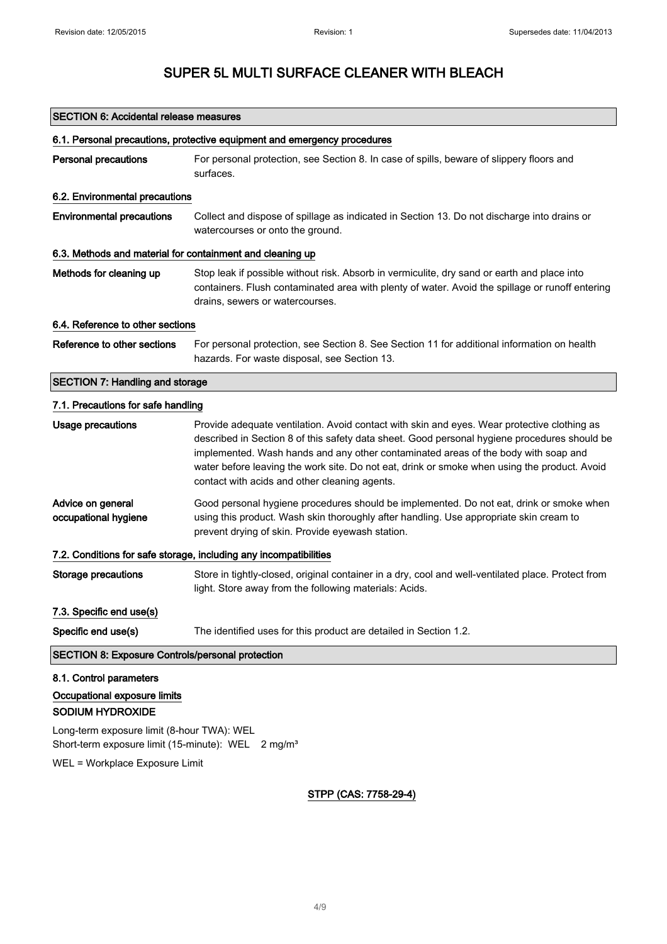#### SECTION 6: Accidental release measures

| 6.1. Personal precautions, protective equipment and emergency procedures                                                                       |                                                                                                                                                                                                                                                                                                                                                                                                                                    |  |
|------------------------------------------------------------------------------------------------------------------------------------------------|------------------------------------------------------------------------------------------------------------------------------------------------------------------------------------------------------------------------------------------------------------------------------------------------------------------------------------------------------------------------------------------------------------------------------------|--|
| <b>Personal precautions</b>                                                                                                                    | For personal protection, see Section 8. In case of spills, beware of slippery floors and<br>surfaces.                                                                                                                                                                                                                                                                                                                              |  |
| 6.2. Environmental precautions                                                                                                                 |                                                                                                                                                                                                                                                                                                                                                                                                                                    |  |
| <b>Environmental precautions</b>                                                                                                               | Collect and dispose of spillage as indicated in Section 13. Do not discharge into drains or<br>watercourses or onto the ground.                                                                                                                                                                                                                                                                                                    |  |
| 6.3. Methods and material for containment and cleaning up                                                                                      |                                                                                                                                                                                                                                                                                                                                                                                                                                    |  |
| Methods for cleaning up                                                                                                                        | Stop leak if possible without risk. Absorb in vermiculite, dry sand or earth and place into<br>containers. Flush contaminated area with plenty of water. Avoid the spillage or runoff entering<br>drains, sewers or watercourses.                                                                                                                                                                                                  |  |
| 6.4. Reference to other sections                                                                                                               |                                                                                                                                                                                                                                                                                                                                                                                                                                    |  |
| Reference to other sections                                                                                                                    | For personal protection, see Section 8. See Section 11 for additional information on health<br>hazards. For waste disposal, see Section 13.                                                                                                                                                                                                                                                                                        |  |
| <b>SECTION 7: Handling and storage</b>                                                                                                         |                                                                                                                                                                                                                                                                                                                                                                                                                                    |  |
| 7.1. Precautions for safe handling                                                                                                             |                                                                                                                                                                                                                                                                                                                                                                                                                                    |  |
| <b>Usage precautions</b>                                                                                                                       | Provide adequate ventilation. Avoid contact with skin and eyes. Wear protective clothing as<br>described in Section 8 of this safety data sheet. Good personal hygiene procedures should be<br>implemented. Wash hands and any other contaminated areas of the body with soap and<br>water before leaving the work site. Do not eat, drink or smoke when using the product. Avoid<br>contact with acids and other cleaning agents. |  |
| Advice on general<br>occupational hygiene                                                                                                      | Good personal hygiene procedures should be implemented. Do not eat, drink or smoke when<br>using this product. Wash skin thoroughly after handling. Use appropriate skin cream to<br>prevent drying of skin. Provide eyewash station.                                                                                                                                                                                              |  |
| 7.2. Conditions for safe storage, including any incompatibilities                                                                              |                                                                                                                                                                                                                                                                                                                                                                                                                                    |  |
| <b>Storage precautions</b>                                                                                                                     | Store in tightly-closed, original container in a dry, cool and well-ventilated place. Protect from<br>light. Store away from the following materials: Acids.                                                                                                                                                                                                                                                                       |  |
| 7.3. Specific end use(s)                                                                                                                       |                                                                                                                                                                                                                                                                                                                                                                                                                                    |  |
| Specific end use(s)                                                                                                                            | The identified uses for this product are detailed in Section 1.2.                                                                                                                                                                                                                                                                                                                                                                  |  |
| <b>SECTION 8: Exposure Controls/personal protection</b>                                                                                        |                                                                                                                                                                                                                                                                                                                                                                                                                                    |  |
| 8.1. Control parameters<br>Occupational exposure limits<br><b>SODIUM HYDROXIDE</b>                                                             |                                                                                                                                                                                                                                                                                                                                                                                                                                    |  |
| Long-term exposure limit (8-hour TWA): WEL<br>Short-term exposure limit (15-minute): WEL 2 mg/m <sup>3</sup><br>WEL = Workplace Exposure Limit |                                                                                                                                                                                                                                                                                                                                                                                                                                    |  |

#### STPP (CAS: 7758-29-4)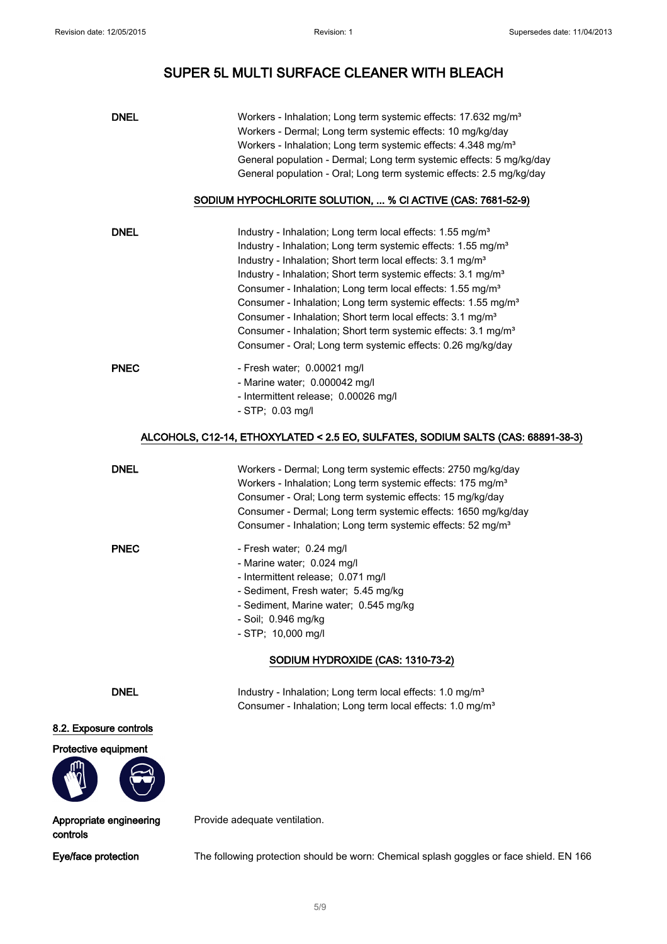| <b>DNEL</b> | Workers - Inhalation; Long term systemic effects: 17.632 mg/m <sup>3</sup><br>Workers - Dermal; Long term systemic effects: 10 mg/kg/day<br>Workers - Inhalation; Long term systemic effects: 4.348 mg/m <sup>3</sup><br>General population - Dermal; Long term systemic effects: 5 mg/kg/day<br>General population - Oral; Long term systemic effects: 2.5 mg/kg/day                                                                                                                                                                                                                                                                                                                   |
|-------------|-----------------------------------------------------------------------------------------------------------------------------------------------------------------------------------------------------------------------------------------------------------------------------------------------------------------------------------------------------------------------------------------------------------------------------------------------------------------------------------------------------------------------------------------------------------------------------------------------------------------------------------------------------------------------------------------|
|             | SODIUM HYPOCHLORITE SOLUTION,  % CI ACTIVE (CAS: 7681-52-9)                                                                                                                                                                                                                                                                                                                                                                                                                                                                                                                                                                                                                             |
| <b>DNEL</b> | Industry - Inhalation; Long term local effects: 1.55 mg/m <sup>3</sup><br>Industry - Inhalation; Long term systemic effects: 1.55 mg/m <sup>3</sup><br>Industry - Inhalation; Short term local effects: 3.1 mg/m <sup>3</sup><br>Industry - Inhalation; Short term systemic effects: 3.1 mg/m <sup>3</sup><br>Consumer - Inhalation; Long term local effects: 1.55 mg/m <sup>3</sup><br>Consumer - Inhalation; Long term systemic effects: 1.55 mg/m <sup>3</sup><br>Consumer - Inhalation; Short term local effects: 3.1 mg/m <sup>3</sup><br>Consumer - Inhalation; Short term systemic effects: 3.1 mg/m <sup>3</sup><br>Consumer - Oral; Long term systemic effects: 0.26 mg/kg/day |
| <b>PNEC</b> | - Fresh water; 0.00021 mg/l<br>- Marine water; 0.000042 mg/l<br>- Intermittent release; 0.00026 mg/l<br>$-$ STP; 0.03 mg/l                                                                                                                                                                                                                                                                                                                                                                                                                                                                                                                                                              |
|             | ALCOHOLS, C12-14, ETHOXYLATED < 2.5 EO, SULFATES, SODIUM SALTS (CAS: 68891-38-3)                                                                                                                                                                                                                                                                                                                                                                                                                                                                                                                                                                                                        |

| DNEL        | Workers - Dermal; Long term systemic effects: 2750 mg/kg/day<br>Workers - Inhalation; Long term systemic effects: 175 mg/m <sup>3</sup><br>Consumer - Oral; Long term systemic effects: 15 mg/kg/day<br>Consumer - Dermal; Long term systemic effects: 1650 mg/kg/day<br>Consumer - Inhalation; Long term systemic effects: 52 mg/m <sup>3</sup> |
|-------------|--------------------------------------------------------------------------------------------------------------------------------------------------------------------------------------------------------------------------------------------------------------------------------------------------------------------------------------------------|
| <b>PNEC</b> | - Fresh water; 0.24 mg/l<br>- Marine water; 0.024 mg/l<br>- Intermittent release; 0.071 mg/l<br>- Sediment, Fresh water; 5.45 mg/kg<br>- Sediment, Marine water; 0.545 mg/kg<br>- Soil; 0.946 mg/kg<br>$-$ STP; 10,000 mg/l                                                                                                                      |

#### SODIUM HYDROXIDE (CAS: 1310-73-2)

DNEL Industry - Inhalation; Long term local effects: 1.0 mg/m<sup>3</sup> Consumer - Inhalation; Long term local effects: 1.0 mg/m³

8.2. Exposure controls





Appropriate engineering controls

Provide adequate ventilation.

Eye/face protection The following protection should be worn: Chemical splash goggles or face shield. EN 166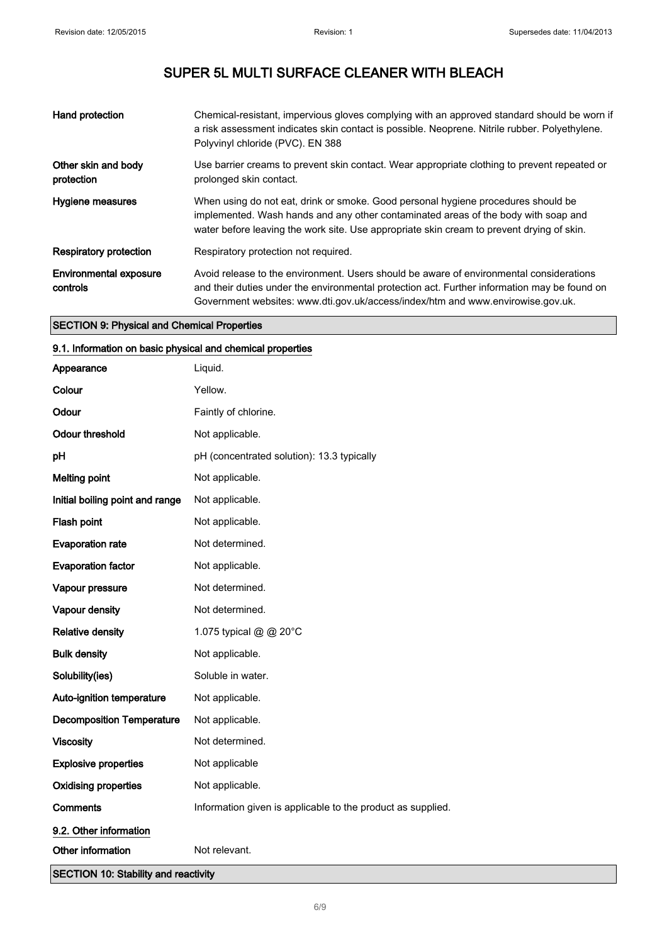| Hand protection                           | Chemical-resistant, impervious gloves complying with an approved standard should be worn if<br>a risk assessment indicates skin contact is possible. Neoprene. Nitrile rubber. Polyethylene.<br>Polyvinyl chloride (PVC). EN 388                                           |
|-------------------------------------------|----------------------------------------------------------------------------------------------------------------------------------------------------------------------------------------------------------------------------------------------------------------------------|
| Other skin and body<br>protection         | Use barrier creams to prevent skin contact. Wear appropriate clothing to prevent repeated or<br>prolonged skin contact.                                                                                                                                                    |
| Hygiene measures                          | When using do not eat, drink or smoke. Good personal hygiene procedures should be<br>implemented. Wash hands and any other contaminated areas of the body with soap and<br>water before leaving the work site. Use appropriate skin cream to prevent drying of skin.       |
| Respiratory protection                    | Respiratory protection not required.                                                                                                                                                                                                                                       |
| <b>Environmental exposure</b><br>controls | Avoid release to the environment. Users should be aware of environmental considerations<br>and their duties under the environmental protection act. Further information may be found on<br>Government websites: www.dti.gov.uk/access/index/htm and www.envirowise.gov.uk. |

#### SECTION 9: Physical and Chemical Properties

#### 9.1. Information on basic physical and chemical properties

| Appearance                                  | Liquid.                                                     |  |
|---------------------------------------------|-------------------------------------------------------------|--|
| Colour                                      | Yellow.                                                     |  |
| Odour                                       | Faintly of chlorine.                                        |  |
| <b>Odour threshold</b>                      | Not applicable.                                             |  |
| pH                                          | pH (concentrated solution): 13.3 typically                  |  |
| <b>Melting point</b>                        | Not applicable.                                             |  |
| Initial boiling point and range             | Not applicable.                                             |  |
| Flash point                                 | Not applicable.                                             |  |
| <b>Evaporation rate</b>                     | Not determined.                                             |  |
| <b>Evaporation factor</b>                   | Not applicable.                                             |  |
| Vapour pressure                             | Not determined.                                             |  |
| Vapour density                              | Not determined.                                             |  |
| <b>Relative density</b>                     | 1.075 typical @ @ 20°C                                      |  |
| <b>Bulk density</b>                         | Not applicable.                                             |  |
| Solubility(ies)                             | Soluble in water.                                           |  |
| Auto-ignition temperature                   | Not applicable.                                             |  |
| <b>Decomposition Temperature</b>            | Not applicable.                                             |  |
| <b>Viscosity</b>                            | Not determined.                                             |  |
| <b>Explosive properties</b>                 | Not applicable                                              |  |
| <b>Oxidising properties</b>                 | Not applicable.                                             |  |
| <b>Comments</b>                             | Information given is applicable to the product as supplied. |  |
| 9.2. Other information                      |                                                             |  |
| Other information                           | Not relevant.                                               |  |
| <b>SECTION 10: Stability and reactivity</b> |                                                             |  |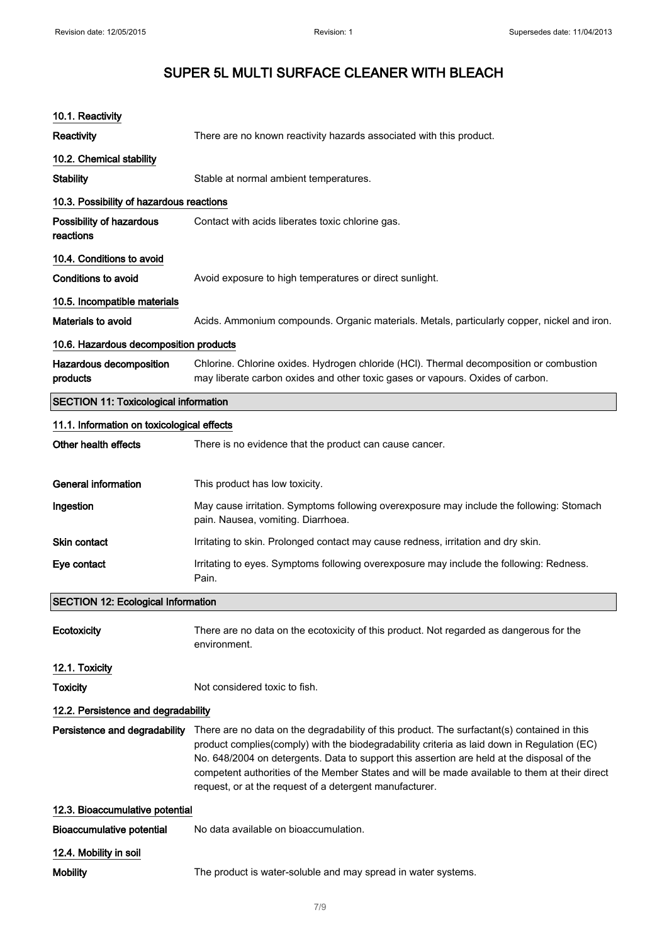| 10.1. Reactivity                             |                                                                                                                                                                                                                                                                                                                                                                                                                                                      |  |
|----------------------------------------------|------------------------------------------------------------------------------------------------------------------------------------------------------------------------------------------------------------------------------------------------------------------------------------------------------------------------------------------------------------------------------------------------------------------------------------------------------|--|
| <b>Reactivity</b>                            | There are no known reactivity hazards associated with this product.                                                                                                                                                                                                                                                                                                                                                                                  |  |
| 10.2. Chemical stability                     |                                                                                                                                                                                                                                                                                                                                                                                                                                                      |  |
| <b>Stability</b>                             | Stable at normal ambient temperatures.                                                                                                                                                                                                                                                                                                                                                                                                               |  |
| 10.3. Possibility of hazardous reactions     |                                                                                                                                                                                                                                                                                                                                                                                                                                                      |  |
| Possibility of hazardous<br>reactions        | Contact with acids liberates toxic chlorine gas.                                                                                                                                                                                                                                                                                                                                                                                                     |  |
| 10.4. Conditions to avoid                    |                                                                                                                                                                                                                                                                                                                                                                                                                                                      |  |
| Conditions to avoid                          | Avoid exposure to high temperatures or direct sunlight.                                                                                                                                                                                                                                                                                                                                                                                              |  |
| 10.5. Incompatible materials                 |                                                                                                                                                                                                                                                                                                                                                                                                                                                      |  |
| <b>Materials to avoid</b>                    | Acids. Ammonium compounds. Organic materials. Metals, particularly copper, nickel and iron.                                                                                                                                                                                                                                                                                                                                                          |  |
| 10.6. Hazardous decomposition products       |                                                                                                                                                                                                                                                                                                                                                                                                                                                      |  |
| Hazardous decomposition<br>products          | Chlorine. Chlorine oxides. Hydrogen chloride (HCl). Thermal decomposition or combustion<br>may liberate carbon oxides and other toxic gases or vapours. Oxides of carbon.                                                                                                                                                                                                                                                                            |  |
| <b>SECTION 11: Toxicological information</b> |                                                                                                                                                                                                                                                                                                                                                                                                                                                      |  |
| 11.1. Information on toxicological effects   |                                                                                                                                                                                                                                                                                                                                                                                                                                                      |  |
| Other health effects                         | There is no evidence that the product can cause cancer.                                                                                                                                                                                                                                                                                                                                                                                              |  |
|                                              |                                                                                                                                                                                                                                                                                                                                                                                                                                                      |  |
| <b>General information</b>                   | This product has low toxicity.                                                                                                                                                                                                                                                                                                                                                                                                                       |  |
| Ingestion                                    | May cause irritation. Symptoms following overexposure may include the following: Stomach<br>pain. Nausea, vomiting. Diarrhoea.                                                                                                                                                                                                                                                                                                                       |  |
| <b>Skin contact</b>                          | Irritating to skin. Prolonged contact may cause redness, irritation and dry skin.                                                                                                                                                                                                                                                                                                                                                                    |  |
| Eye contact                                  | Irritating to eyes. Symptoms following overexposure may include the following: Redness.<br>Pain.                                                                                                                                                                                                                                                                                                                                                     |  |
| <b>SECTION 12: Ecological Information</b>    |                                                                                                                                                                                                                                                                                                                                                                                                                                                      |  |
| Ecotoxicity                                  | There are no data on the ecotoxicity of this product. Not regarded as dangerous for the<br>environment.                                                                                                                                                                                                                                                                                                                                              |  |
| 12.1. Toxicity                               |                                                                                                                                                                                                                                                                                                                                                                                                                                                      |  |
| <b>Toxicity</b>                              | Not considered toxic to fish.                                                                                                                                                                                                                                                                                                                                                                                                                        |  |
| 12.2. Persistence and degradability          |                                                                                                                                                                                                                                                                                                                                                                                                                                                      |  |
| Persistence and degradability                | There are no data on the degradability of this product. The surfactant(s) contained in this<br>product complies(comply) with the biodegradability criteria as laid down in Regulation (EC)<br>No. 648/2004 on detergents. Data to support this assertion are held at the disposal of the<br>competent authorities of the Member States and will be made available to them at their direct<br>request, or at the request of a detergent manufacturer. |  |
| 12.3. Bioaccumulative potential              |                                                                                                                                                                                                                                                                                                                                                                                                                                                      |  |
| <b>Bioaccumulative potential</b>             | No data available on bioaccumulation.                                                                                                                                                                                                                                                                                                                                                                                                                |  |
| 12.4. Mobility in soil                       |                                                                                                                                                                                                                                                                                                                                                                                                                                                      |  |
| <b>Mobility</b>                              | The product is water-soluble and may spread in water systems.                                                                                                                                                                                                                                                                                                                                                                                        |  |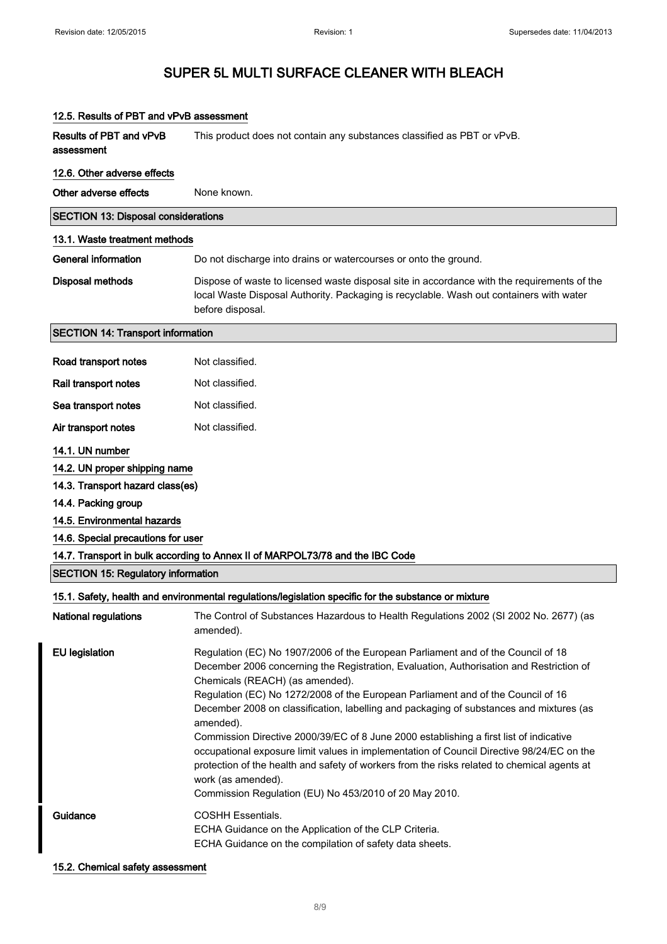| 12.5. Results of PBT and vPvB assessment     |                                                                                                                                                                                                                                                                                                                                                                                                                                                                                                                                                                                                                                                                                                                                                                                  |  |
|----------------------------------------------|----------------------------------------------------------------------------------------------------------------------------------------------------------------------------------------------------------------------------------------------------------------------------------------------------------------------------------------------------------------------------------------------------------------------------------------------------------------------------------------------------------------------------------------------------------------------------------------------------------------------------------------------------------------------------------------------------------------------------------------------------------------------------------|--|
| <b>Results of PBT and vPvB</b><br>assessment | This product does not contain any substances classified as PBT or vPvB.                                                                                                                                                                                                                                                                                                                                                                                                                                                                                                                                                                                                                                                                                                          |  |
| 12.6. Other adverse effects                  |                                                                                                                                                                                                                                                                                                                                                                                                                                                                                                                                                                                                                                                                                                                                                                                  |  |
| Other adverse effects                        | None known.                                                                                                                                                                                                                                                                                                                                                                                                                                                                                                                                                                                                                                                                                                                                                                      |  |
| <b>SECTION 13: Disposal considerations</b>   |                                                                                                                                                                                                                                                                                                                                                                                                                                                                                                                                                                                                                                                                                                                                                                                  |  |
| 13.1. Waste treatment methods                |                                                                                                                                                                                                                                                                                                                                                                                                                                                                                                                                                                                                                                                                                                                                                                                  |  |
| <b>General information</b>                   | Do not discharge into drains or watercourses or onto the ground.                                                                                                                                                                                                                                                                                                                                                                                                                                                                                                                                                                                                                                                                                                                 |  |
| <b>Disposal methods</b>                      | Dispose of waste to licensed waste disposal site in accordance with the requirements of the<br>local Waste Disposal Authority. Packaging is recyclable. Wash out containers with water<br>before disposal.                                                                                                                                                                                                                                                                                                                                                                                                                                                                                                                                                                       |  |
| <b>SECTION 14: Transport information</b>     |                                                                                                                                                                                                                                                                                                                                                                                                                                                                                                                                                                                                                                                                                                                                                                                  |  |
| Road transport notes                         | Not classified.                                                                                                                                                                                                                                                                                                                                                                                                                                                                                                                                                                                                                                                                                                                                                                  |  |
| Rail transport notes                         | Not classified.                                                                                                                                                                                                                                                                                                                                                                                                                                                                                                                                                                                                                                                                                                                                                                  |  |
| Sea transport notes                          | Not classified.                                                                                                                                                                                                                                                                                                                                                                                                                                                                                                                                                                                                                                                                                                                                                                  |  |
| Air transport notes                          | Not classified.                                                                                                                                                                                                                                                                                                                                                                                                                                                                                                                                                                                                                                                                                                                                                                  |  |
| 14.1. UN number                              |                                                                                                                                                                                                                                                                                                                                                                                                                                                                                                                                                                                                                                                                                                                                                                                  |  |
| 14.2. UN proper shipping name                |                                                                                                                                                                                                                                                                                                                                                                                                                                                                                                                                                                                                                                                                                                                                                                                  |  |
| 14.3. Transport hazard class(es)             |                                                                                                                                                                                                                                                                                                                                                                                                                                                                                                                                                                                                                                                                                                                                                                                  |  |
| 14.4. Packing group                          |                                                                                                                                                                                                                                                                                                                                                                                                                                                                                                                                                                                                                                                                                                                                                                                  |  |
| 14.5. Environmental hazards                  |                                                                                                                                                                                                                                                                                                                                                                                                                                                                                                                                                                                                                                                                                                                                                                                  |  |
| 14.6. Special precautions for user           |                                                                                                                                                                                                                                                                                                                                                                                                                                                                                                                                                                                                                                                                                                                                                                                  |  |
|                                              | 14.7. Transport in bulk according to Annex II of MARPOL73/78 and the IBC Code                                                                                                                                                                                                                                                                                                                                                                                                                                                                                                                                                                                                                                                                                                    |  |
| <b>SECTION 15: Regulatory information</b>    |                                                                                                                                                                                                                                                                                                                                                                                                                                                                                                                                                                                                                                                                                                                                                                                  |  |
|                                              | 15.1. Safety, health and environmental regulations/legislation specific for the substance or mixture                                                                                                                                                                                                                                                                                                                                                                                                                                                                                                                                                                                                                                                                             |  |
| National regulations                         | The Control of Substances Hazardous to Health Regulations 2002 (SI 2002 No. 2677) (as<br>amended).                                                                                                                                                                                                                                                                                                                                                                                                                                                                                                                                                                                                                                                                               |  |
| <b>EU</b> legislation                        | Regulation (EC) No 1907/2006 of the European Parliament and of the Council of 18<br>December 2006 concerning the Registration, Evaluation, Authorisation and Restriction of<br>Chemicals (REACH) (as amended).<br>Regulation (EC) No 1272/2008 of the European Parliament and of the Council of 16<br>December 2008 on classification, labelling and packaging of substances and mixtures (as<br>amended).<br>Commission Directive 2000/39/EC of 8 June 2000 establishing a first list of indicative<br>occupational exposure limit values in implementation of Council Directive 98/24/EC on the<br>protection of the health and safety of workers from the risks related to chemical agents at<br>work (as amended).<br>Commission Regulation (EU) No 453/2010 of 20 May 2010. |  |
| Guidance                                     | COSHH Essentials.<br>ECHA Guidance on the Application of the CLP Criteria.<br>ECHA Guidance on the compilation of safety data sheets.                                                                                                                                                                                                                                                                                                                                                                                                                                                                                                                                                                                                                                            |  |

#### 15.2. Chemical safety assessment